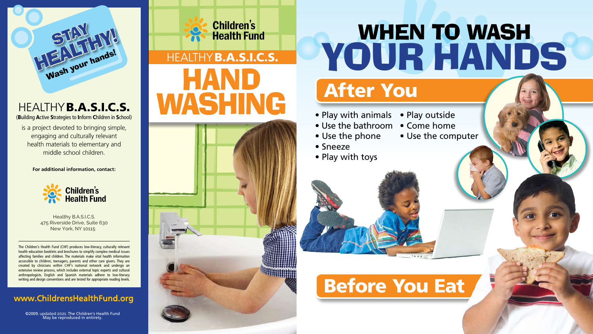

is a project devoted to bringing simple, engaging and culturally relevant health materials to elementary and middle school children.

### Healthy B.A.S.I.C.S. (Building Active Strategies to Inform Children in School)

The Children's Health Fund (CHF) produces low-literacy, culturally relevant health education booklets and brochures to simplify complex medical issues affecting families and children. The materials make vital health information accessible to children, teenagers, parents and other care givers. They are created by clinicians within CHF's national network and undergo an extensive review process, which includes external topic experts and cultural anthropologists. English and Spanish materials adhere to low-literacy writing and design conventions and are tested for appropriate reading levels.

#### **For additional information, contact:**



- Play with animals
- Use the bathroom
- Use the phone
- Sneeze
- Play with toys

# After You **WHEN TO WASH** your hands

- Play outside
- Come home
- Use the computer



### Before You Eat

Healthy B.A.S.I.C.S. 475 Riverside Drive, Suite 630 New York, NY 10115

### www.ChildrensHealthFund.org

©2009, updated 2021. The Children's Health Fund May be reproduced in entirety.

**Children's Health Fund** 

# WASHING HEALTHY **B.A.S.I.C.S.**